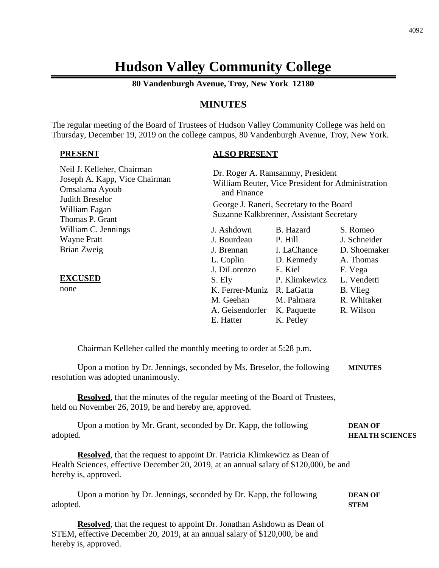# **Hudson Valley Community College**

**80 Vandenburgh Avenue, Troy, New York 12180**

# **MINUTES**

The regular meeting of the Board of Trustees of Hudson Valley Community College was held on Thursday, December 19, 2019 on the college campus, 80 Vandenburgh Avenue, Troy, New York.

#### **PRESENT**

# **ALSO PRESENT**

| Neil J. Kelleher, Chairman<br>Joseph A. Kapp, Vice Chairman<br>Omsalama Ayoub<br>Judith Breselor<br>William Fagan<br>Thomas P. Grant | Dr. Roger A. Ramsammy, President<br>William Reuter, Vice President for Administration<br>and Finance<br>George J. Raneri, Secretary to the Board<br>Suzanne Kalkbrenner, Assistant Secretary |                                                         |                                                     |  |
|--------------------------------------------------------------------------------------------------------------------------------------|----------------------------------------------------------------------------------------------------------------------------------------------------------------------------------------------|---------------------------------------------------------|-----------------------------------------------------|--|
| William C. Jennings<br><b>Wayne Pratt</b>                                                                                            | J. Ashdown<br>J. Bourdeau                                                                                                                                                                    | B. Hazard<br>P. Hill                                    | S. Romeo<br>J. Schneider                            |  |
| Brian Zweig                                                                                                                          | J. Brennan<br>L. Coplin<br>J. DiLorenzo                                                                                                                                                      | I. LaChance<br>D. Kennedy<br>E. Kiel                    | D. Shoemaker<br>A. Thomas<br>F. Vega                |  |
| <b>EXCUSED</b><br>none                                                                                                               | S. Ely<br>K. Ferrer-Muniz R. LaGatta<br>M. Geehan<br>A. Geisendorfer<br>E. Hatter                                                                                                            | P. Klimkewicz<br>M. Palmara<br>K. Paquette<br>K. Petley | L. Vendetti<br>B. Vlieg<br>R. Whitaker<br>R. Wilson |  |
| Chairman Kelleher called the monthly meeting to order at 5:28 p.m.                                                                   |                                                                                                                                                                                              |                                                         |                                                     |  |
| Upon a motion by Dr. Jennings, seconded by Ms. Breselor, the following<br>resolution was adopted unanimously.                        |                                                                                                                                                                                              |                                                         | <b>MINUTES</b>                                      |  |

**Resolved**, that the minutes of the regular meeting of the Board of Trustees, held on November 26, 2019, be and hereby are, approved.

| Upon a motion by Mr. Grant, seconded by Dr. Kapp, the following | <b>DEAN OF</b>         |
|-----------------------------------------------------------------|------------------------|
| adopted.                                                        | <b>HEALTH SCIENCES</b> |

**Resolved**, that the request to appoint Dr. Patricia Klimkewicz as Dean of Health Sciences, effective December 20, 2019, at an annual salary of \$120,000, be and hereby is, approved.

Upon a motion by Dr. Jennings, seconded by Dr. Kapp, the following **DEAN OF** adopted. **STEM**

**Resolved**, that the request to appoint Dr. Jonathan Ashdown as Dean of STEM, effective December 20, 2019, at an annual salary of \$120,000, be and hereby is, approved.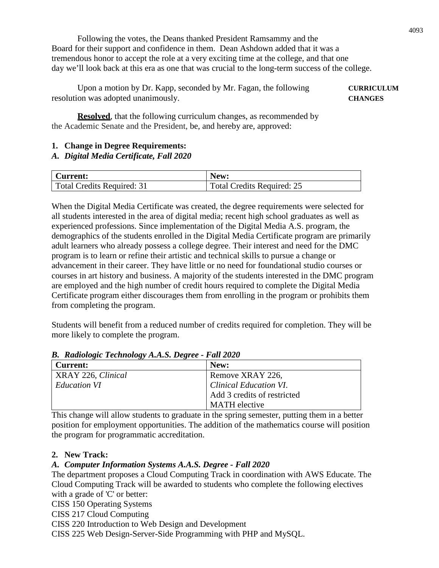Following the votes, the Deans thanked President Ramsammy and the Board for their support and confidence in them. Dean Ashdown added that it was a tremendous honor to accept the role at a very exciting time at the college, and that one day we'll look back at this era as one that was crucial to the long-term success of the college.

Upon a motion by Dr. Kapp, seconded by Mr. Fagan, the following **CURRICULUM** resolution was adopted unanimously. **CHANGES**

**Resolved**, that the following curriculum changes, as recommended by the Academic Senate and the President, be, and hereby are, approved:

# **1. Change in Degree Requirements:**

# *A. Digital Media Certificate, Fall 2020*

| Current:                   | New:                              |
|----------------------------|-----------------------------------|
| Total Credits Required: 31 | <b>Total Credits Required: 25</b> |

When the Digital Media Certificate was created, the degree requirements were selected for all students interested in the area of digital media; recent high school graduates as well as experienced professions. Since implementation of the Digital Media A.S. program, the demographics of the students enrolled in the Digital Media Certificate program are primarily adult learners who already possess a college degree. Their interest and need for the DMC program is to learn or refine their artistic and technical skills to pursue a change or advancement in their career. They have little or no need for foundational studio courses or courses in art history and business. A majority of the students interested in the DMC program are employed and the high number of credit hours required to complete the Digital Media Certificate program either discourages them from enrolling in the program or prohibits them from completing the program.

Students will benefit from a reduced number of credits required for completion. They will be more likely to complete the program.

| <b>Current:</b>    | New:                          |
|--------------------|-------------------------------|
| XRAY 226, Clinical | Remove XRAY 226,              |
| Education VI       | <b>Clinical Education VI.</b> |
|                    | Add 3 credits of restricted   |
|                    | <b>MATH</b> elective          |

# *B. Radiologic Technology A.A.S. Degree - Fall 2020*

This change will allow students to graduate in the spring semester, putting them in a better position for employment opportunities. The addition of the mathematics course will position the program for programmatic accreditation.

#### **2. New Track:**

# *A. Computer Information Systems A.A.S. Degree - Fall 2020*

The department proposes a Cloud Computing Track in coordination with AWS Educate. The Cloud Computing Track will be awarded to students who complete the following electives with a grade of 'C' or better:

CISS 150 Operating Systems

CISS 217 Cloud Computing

CISS 220 Introduction to Web Design and Development

CISS 225 Web Design-Server-Side Programming with PHP and MySQL.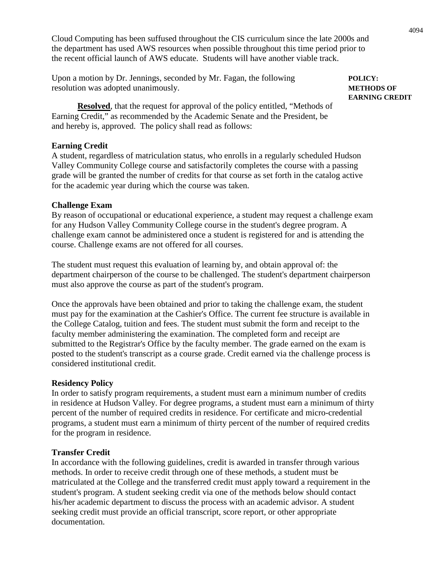Cloud Computing has been suffused throughout the CIS curriculum since the late 2000s and the department has used AWS resources when possible throughout this time period prior to the recent official launch of AWS educate. Students will have another viable track.

Upon a motion by Dr. Jennings, seconded by Mr. Fagan, the following **POLICY:** resolution was adopted unanimously. **METHODS OF**

**Resolved**, that the request for approval of the policy entitled, "Methods of Earning Credit," as recommended by the Academic Senate and the President, be and hereby is, approved. The policy shall read as follows:

#### **Earning Credit**

A student, regardless of matriculation status, who enrolls in a regularly scheduled Hudson Valley Community College course and satisfactorily completes the course with a passing grade will be granted the number of credits for that course as set forth in the catalog active for the academic year during which the course was taken.

#### **Challenge Exam**

By reason of occupational or educational experience, a student may request a challenge exam for any Hudson Valley Community College course in the student's degree program. A challenge exam cannot be administered once a student is registered for and is attending the course. Challenge exams are not offered for all courses.

The student must request this evaluation of learning by, and obtain approval of: the department chairperson of the course to be challenged. The student's department chairperson must also approve the course as part of the student's program.

Once the approvals have been obtained and prior to taking the challenge exam, the student must pay for the examination at the Cashier's Office. The current fee structure is available in the College Catalog, tuition and fees. The student must submit the form and receipt to the faculty member administering the examination. The completed form and receipt are submitted to the Registrar's Office by the faculty member. The grade earned on the exam is posted to the student's transcript as a course grade. Credit earned via the challenge process is considered institutional credit.

#### **Residency Policy**

In order to satisfy program requirements, a student must earn a minimum number of credits in residence at Hudson Valley. For degree programs, a student must earn a minimum of thirty percent of the number of required credits in residence. For certificate and micro-credential programs, a student must earn a minimum of thirty percent of the number of required credits for the program in residence.

#### **Transfer Credit**

In accordance with the following guidelines, credit is awarded in transfer through various methods. In order to receive credit through one of these methods, a student must be matriculated at the College and the transferred credit must apply toward a requirement in the student's program. A student seeking credit via one of the methods below should contact his/her academic department to discuss the process with an academic advisor. A student seeking credit must provide an official transcript, score report, or other appropriate documentation.

**EARNING CREDIT**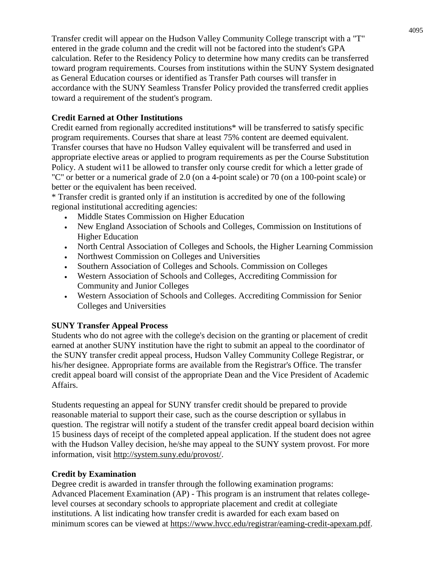Transfer credit will appear on the Hudson Valley Community College transcript with a "T" entered in the grade column and the credit will not be factored into the student's GPA calculation. Refer to the Residency Policy to determine how many credits can be transferred toward program requirements. Courses from institutions within the SUNY System designated as General Education courses or identified as Transfer Path courses will transfer in accordance with the SUNY Seamless Transfer Policy provided the transferred credit applies toward a requirement of the student's program.

# **Credit Earned at Other Institutions**

Credit earned from regionally accredited institutions\* will be transferred to satisfy specific program requirements. Courses that share at least 75% content are deemed equivalent. Transfer courses that have no Hudson Valley equivalent will be transferred and used in appropriate elective areas or applied to program requirements as per the Course Substitution Policy. A student wi11 be allowed to transfer only course credit for which a letter grade of "C'' or better or a numerical grade of 2.0 (on a 4-point scale) or 70 (on a 100-point scale) or better or the equivalent has been received.

\* Transfer credit is granted only if an institution is accredited by one of the following regional institutional accrediting agencies:

- Middle States Commission on Higher Education
- New England Association of Schools and Colleges, Commission on Institutions of Higher Education
- North Central Association of Colleges and Schools, the Higher Learning Commission
- Northwest Commission on Colleges and Universities
- Southern Association of Colleges and Schools. Commission on Colleges
- Western Association of Schools and Colleges, Accrediting Commission for Community and Junior Colleges
- Western Association of Schools and Colleges. Accrediting Commission for Senior Colleges and Universities

# **SUNY Transfer Appeal Process**

Students who do not agree with the college's decision on the granting or placement of credit earned at another SUNY institution have the right to submit an appeal to the coordinator of the SUNY transfer credit appeal process, Hudson Valley Community College Registrar, or his/her designee. Appropriate forms are available from the Registrar's Office. The transfer credit appeal board will consist of the appropriate Dean and the Vice President of Academic Affairs.

Students requesting an appeal for SUNY transfer credit should be prepared to provide reasonable material to support their case, such as the course description or syllabus in question. The registrar will notify a student of the transfer credit appeal board decision within 15 business days of receipt of the completed appeal application. If the student does not agree with the Hudson Valley decision, he/she may appeal to the SUNY system provost. For more information, visit http://system.suny.edu/provost/.

# **Credit by Examination**

Degree credit is awarded in transfer through the following examination programs: Advanced Placement Examination (AP) - This program is an instrument that relates collegelevel courses at secondary schools to appropriate placement and credit at collegiate institutions. A list indicating how transfer credit is awarded for each exam based on minimum scores can be viewed at https://www.hvcc.edu/registrar/eaming-credit-apexam.pdf.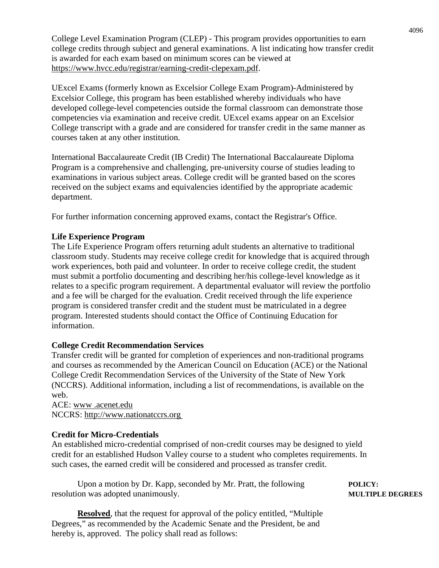College Level Examination Program (CLEP) - This program provides opportunities to earn college credits through subject and general examinations. A list indicating how transfer credit is awarded for each exam based on minimum scores can be viewed at https://www.hvcc.edu/registrar/earning-credit-clepexam.pdf.

UExcel Exams (formerly known as Excelsior College Exam Program)-Administered by Excelsior College, this program has been established whereby individuals who have developed college-level competencies outside the formal classroom can demonstrate those competencies via examination and receive credit. UExcel exams appear on an Excelsior College transcript with a grade and are considered for transfer credit in the same manner as courses taken at any other institution.

International Baccalaureate Credit (IB Credit) The International Baccalaureate Diploma Program is a comprehensive and challenging, pre-university course of studies leading to examinations in various subject areas. College credit will be granted based on the scores received on the subject exams and equivalencies identified by the appropriate academic department.

For further information concerning approved exams, contact the Registrar's Office.

#### **Life Experience Program**

The Life Experience Program offers returning adult students an alternative to traditional classroom study. Students may receive college credit for knowledge that is acquired through work experiences, both paid and volunteer. In order to receive college credit, the student must submit a portfolio documenting and describing her/his college-level knowledge as it relates to a specific program requirement. A departmental evaluator will review the portfolio and a fee will be charged for the evaluation. Credit received through the life experience program is considered transfer credit and the student must be matriculated in a degree program. Interested students should contact the Office of Continuing Education for information.

#### **College Credit Recommendation Services**

Transfer credit will be granted for completion of experiences and non-traditional programs and courses as recommended by the American Council on Education (ACE) or the National College Credit Recommendation Services of the University of the State of New York (NCCRS). Additional information, including a list of recommendations, is available on the web.

ACE: www .acenet.edu NCCRS: http://www.nationatccrs.org

#### **Credit for Micro-Credentials**

An established micro-credential comprised of non-credit courses may be designed to yield credit for an established Hudson Valley course to a student who completes requirements. In such cases, the earned credit will be considered and processed as transfer credit.

Upon a motion by Dr. Kapp, seconded by Mr. Pratt, the following **POLICY:** resolution was adopted unanimously. **MULTIPLE DEGREES** 

**Resolved**, that the request for approval of the policy entitled, "Multiple Degrees," as recommended by the Academic Senate and the President, be and hereby is, approved. The policy shall read as follows: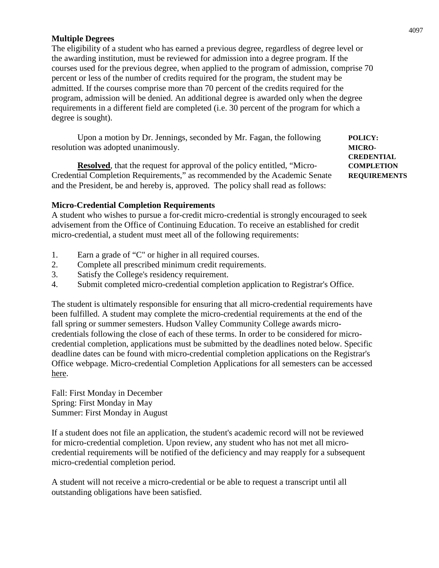#### **Multiple Degrees**

The eligibility of a student who has earned a previous degree, regardless of degree level or the awarding institution, must be reviewed for admission into a degree program. If the courses used for the previous degree, when applied to the program of admission, comprise 70 percent or less of the number of credits required for the program, the student may be admitted. If the courses comprise more than 70 percent of the credits required for the program, admission will be denied. An additional degree is awarded only when the degree requirements in a different field are completed (i.e. 30 percent of the program for which a degree is sought).

Upon a motion by Dr. Jennings, seconded by Mr. Fagan, the following **POLICY:** resolution was adopted unanimously. **MICRO-**

**Resolved**, that the request for approval of the policy entitled, "Micro- **COMPLETION** Credential Completion Requirements," as recommended by the Academic Senate **REQUIREMENTS** and the President, be and hereby is, approved. The policy shall read as follows:

**CREDENTIAL**

#### **Micro-Credential Completion Requirements**

A student who wishes to pursue a for-credit micro-credential is strongly encouraged to seek advisement from the Office of Continuing Education. To receive an established for credit micro-credential, a student must meet all of the following requirements:

- 1. Earn a grade of "C" or higher in all required courses.
- 2. Complete all prescribed minimum credit requirements.
- 3. Satisfy the College's residency requirement.
- 4. Submit completed micro-credential completion application to Registrar's Office.

The student is ultimately responsible for ensuring that all micro-credential requirements have been fulfilled. A student may complete the micro-credential requirements at the end of the fall spring or summer semesters. Hudson Valley Community College awards microcredentials following the close of each of these terms. In order to be considered for microcredential completion, applications must be submitted by the deadlines noted below. Specific deadline dates can be found with micro-credential completion applications on the Registrar's Office webpage. Micro-credential Completion Applications for all semesters can be accessed here.

Fall: First Monday in December Spring: First Monday in May Summer: First Monday in August

If a student does not file an application, the student's academic record will not be reviewed for micro-credential completion. Upon review, any student who has not met all microcredential requirements will be notified of the deficiency and may reapply for a subsequent micro-credential completion period.

A student will not receive a micro-credential or be able to request a transcript until all outstanding obligations have been satisfied.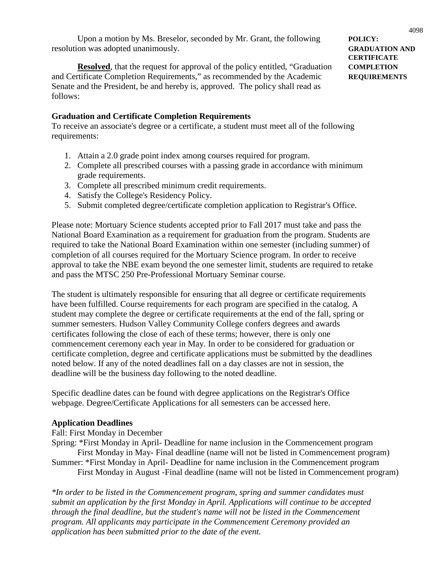Upon a motion by Ms. Breselor, seconded by Mr. Grant, the following **POLICY:** resolution was adopted unanimously. **GRADUATION AND**

**Resolved**, that the request for approval of the policy entitled, "Graduation **COMPLETION** and Certificate Completion Requirements," as recommended by the Academic **REQUIREMENTS** Senate and the President, be and hereby is, approved. The policy shall read as follows:

#### **Graduation and Certificate Completion Requirements**

To receive an associate's degree or a certificate, a student must meet all of the following requirements:

- 1. Attain a 2.0 grade point index among courses required for program.
- 2. Complete all prescribed courses with a passing grade in accordance with minimum grade requirements.
- 3. Complete all prescribed minimum credit requirements.
- 4. Satisfy the College's Residency Policy.
- 5. Submit completed degree/certificate completion application to Registrar's Office.

Please note: Mortuary Science students accepted prior to Fall 2017 must take and pass the National Board Examination as a requirement for graduation from the program. Students are required to take the National Board Examination within one semester (including summer) of completion of all courses required for the Mortuary Science program. In order to receive approval to take the NBE exam beyond the one semester limit, students are required to retake and pass the MTSC 250 Pre-Professional Mortuary Seminar course.

The student is ultimately responsible for ensuring that all degree or certificate requirements have been fulfilled. Course requirements for each program are specified in the catalog. A student may complete the degree or certificate requirements at the end of the fall, spring or summer semesters. Hudson Valley Community College confers degrees and awards certificates following the close of each of these terms; however, there is only one commencement ceremony each year in May. In order to be considered for graduation or certificate completion, degree and certificate applications must be submitted by the deadlines noted below. If any of the noted deadlines fall on a day classes are not in session, the deadline will be the business day following to the noted deadline.

Specific deadline dates can be found with degree applications on the Registrar's Office webpage. Degree/Certificate Applications for all semesters can be accessed here.

#### **Application Deadlines**

Fall: First Monday in December

Spring: \*First Monday in April- Deadline for name inclusion in the Commencement program First Monday in May- Final deadline (name will not be listed in Commencement program) Summer: \*First Monday in April- Deadline for name inclusion in the Commencement program

First Monday in August -Final deadline (name will not be listed in Commencement program)

*\*In order to be listed in the Commencement program, spring and summer candidates must submit an application by the first Monday in April. Applications will continue to be accepted through the final deadline, but the student's name will not be listed in the Commencement program. All applicants may participate in the Commencement Ceremony provided an application has been submitted prior to the date of the event.*

4098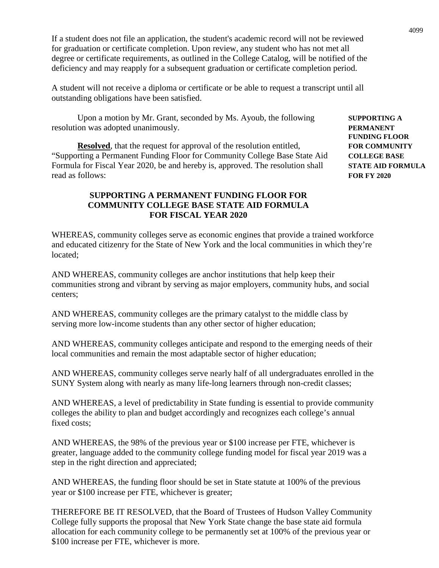If a student does not file an application, the student's academic record will not be reviewed for graduation or certificate completion. Upon review, any student who has not met all degree or certificate requirements, as outlined in the College Catalog, will be notified of the deficiency and may reapply for a subsequent graduation or certificate completion period.

A student will not receive a diploma or certificate or be able to request a transcript until all outstanding obligations have been satisfied.

Upon a motion by Mr. Grant, seconded by Ms. Ayoub, the following **SUPPORTING A** resolution was adopted unanimously. **PERMANENT**

**Resolved**, that the request for approval of the resolution entitled, **FOR COMMUNITY** "Supporting a Permanent Funding Floor for Community College Base State Aid **COLLEGE BASE** Formula for Fiscal Year 2020, be and hereby is, approved. The resolution shall **STATE AID FORMULA** read as follows: **FOR FY 2020**

#### **SUPPORTING A PERMANENT FUNDING FLOOR FOR COMMUNITY COLLEGE BASE STATE AID FORMULA FOR FISCAL YEAR 2020**

WHEREAS, community colleges serve as economic engines that provide a trained workforce and educated citizenry for the State of New York and the local communities in which they're located;

AND WHEREAS, community colleges are anchor institutions that help keep their communities strong and vibrant by serving as major employers, community hubs, and social centers;

AND WHEREAS, community colleges are the primary catalyst to the middle class by serving more low-income students than any other sector of higher education;

AND WHEREAS, community colleges anticipate and respond to the emerging needs of their local communities and remain the most adaptable sector of higher education;

AND WHEREAS, community colleges serve nearly half of all undergraduates enrolled in the SUNY System along with nearly as many life-long learners through non-credit classes;

AND WHEREAS, a level of predictability in State funding is essential to provide community colleges the ability to plan and budget accordingly and recognizes each college's annual fixed costs;

AND WHEREAS, the 98% of the previous year or \$100 increase per FTE, whichever is greater, language added to the community college funding model for fiscal year 2019 was a step in the right direction and appreciated;

AND WHEREAS, the funding floor should be set in State statute at 100% of the previous year or \$100 increase per FTE, whichever is greater;

THEREFORE BE IT RESOLVED, that the Board of Trustees of Hudson Valley Community College fully supports the proposal that New York State change the base state aid formula allocation for each community college to be permanently set at 100% of the previous year or \$100 increase per FTE, whichever is more.

**FUNDING FLOOR**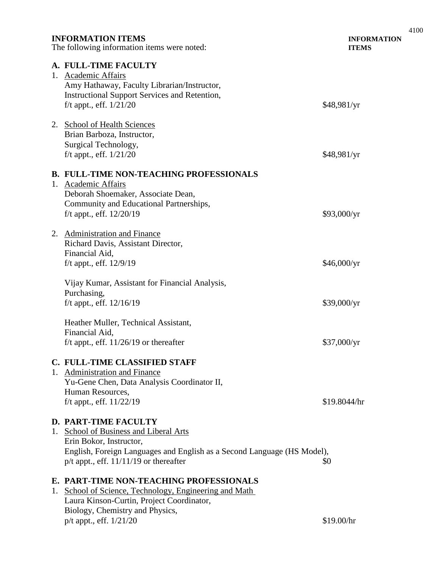| <b>INFORMATION ITEMS</b><br>The following information items were noted:                                                                                                                                                 | <b>INFORMATION</b><br><b>ITEMS</b> |
|-------------------------------------------------------------------------------------------------------------------------------------------------------------------------------------------------------------------------|------------------------------------|
| A. FULL-TIME FACULTY<br>1. Academic Affairs<br>Amy Hathaway, Faculty Librarian/Instructor,<br><b>Instructional Support Services and Retention,</b><br>f/t appt., eff. $1/21/20$                                         | \$48,981/yr                        |
| 2. School of Health Sciences<br>Brian Barboza, Instructor,<br>Surgical Technology,<br>f/t appt., eff. $1/21/20$                                                                                                         | \$48,981/yr                        |
| <b>B. FULL-TIME NON-TEACHING PROFESSIONALS</b><br>1. Academic Affairs<br>Deborah Shoemaker, Associate Dean,<br>Community and Educational Partnerships,<br>f/t appt., eff. $12/20/19$                                    | \$93,000/yr                        |
| 2. Administration and Finance<br>Richard Davis, Assistant Director,<br>Financial Aid,<br>f/t appt., eff. $12/9/19$                                                                                                      | \$46,000/yr                        |
| Vijay Kumar, Assistant for Financial Analysis,<br>Purchasing,<br>f/t appt., eff. $12/16/19$                                                                                                                             | \$39,000/yr                        |
| Heather Muller, Technical Assistant,<br>Financial Aid,<br>f/t appt., eff. $11/26/19$ or thereafter                                                                                                                      | \$37,000/yr                        |
| C. FULL-TIME CLASSIFIED STAFF<br>1. Administration and Finance<br>Yu-Gene Chen, Data Analysis Coordinator II,<br>Human Resources,<br>f/t appt., eff. $11/22/19$                                                         | \$19.8044/hr                       |
| <b>D. PART-TIME FACULTY</b><br>1. School of Business and Liberal Arts<br>Erin Bokor, Instructor,<br>English, Foreign Languages and English as a Second Language (HS Model),<br>$p/t$ appt., eff. 11/11/19 or thereafter | \$0                                |
| E. PART-TIME NON-TEACHING PROFESSIONALS<br>1. School of Science, Technology, Engineering and Math<br>Laura Kinson-Curtin, Project Coordinator,<br>Biology, Chemistry and Physics,<br>p/t appt., eff. 1/21/20            | \$19.00/hr                         |

4100